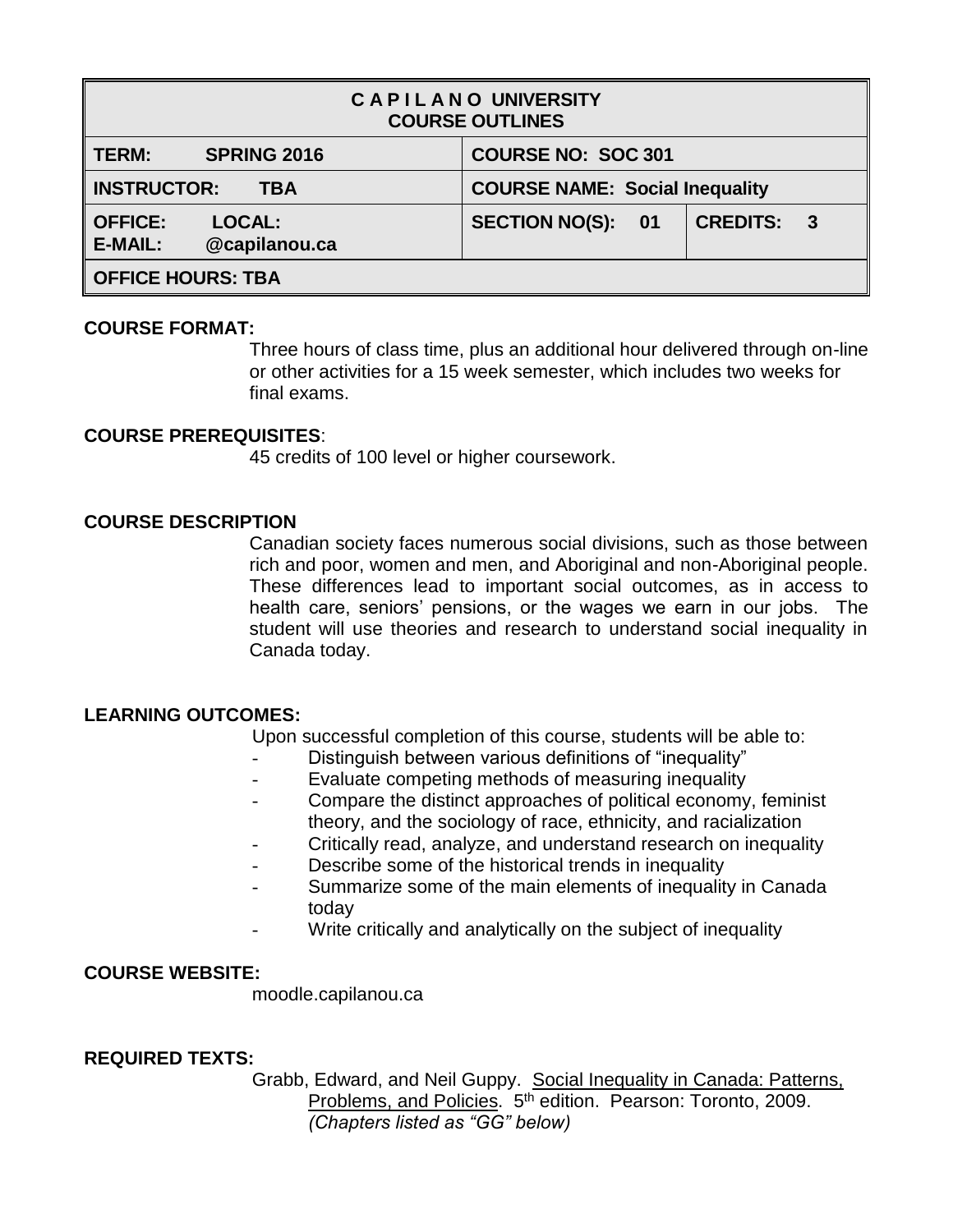| <b>CAPILANO UNIVERSITY</b><br><b>COURSE OUTLINES</b>               |                                            |                                            |  |  |  |
|--------------------------------------------------------------------|--------------------------------------------|--------------------------------------------|--|--|--|
| <b>TERM:</b><br><b>SPRING 2016</b>                                 | <b>COURSE NO: SOC 301</b>                  |                                            |  |  |  |
| <b>INSTRUCTOR:</b><br>TBA                                          | <b>COURSE NAME: Social Inequality</b>      |                                            |  |  |  |
| <b>OFFICE:</b><br><b>LOCAL:</b><br><b>E-MAIL:</b><br>@capilanou.ca | <b>SECTION NO(S):</b><br>$\blacksquare$ 01 | <b>CREDITS:</b><br>$\overline{\mathbf{3}}$ |  |  |  |
| <b>OFFICE HOURS: TBA</b>                                           |                                            |                                            |  |  |  |

## **COURSE FORMAT:**

Three hours of class time, plus an additional hour delivered through on-line or other activities for a 15 week semester, which includes two weeks for final exams.

## **COURSE PREREQUISITES**:

45 credits of 100 level or higher coursework.

## **COURSE DESCRIPTION**

Canadian society faces numerous social divisions, such as those between rich and poor, women and men, and Aboriginal and non-Aboriginal people. These differences lead to important social outcomes, as in access to health care, seniors' pensions, or the wages we earn in our jobs. The student will use theories and research to understand social inequality in Canada today.

## **LEARNING OUTCOMES:**

Upon successful completion of this course, students will be able to:

- Distinguish between various definitions of "inequality"
- Evaluate competing methods of measuring inequality
- Compare the distinct approaches of political economy, feminist theory, and the sociology of race, ethnicity, and racialization
- Critically read, analyze, and understand research on inequality
- Describe some of the historical trends in inequality
- Summarize some of the main elements of inequality in Canada today
- Write critically and analytically on the subject of inequality

## **COURSE WEBSITE:**

moodle.capilanou.ca

# **REQUIRED TEXTS:**

Grabb, Edward, and Neil Guppy. Social Inequality in Canada: Patterns, Problems, and Policies. 5th edition. Pearson: Toronto, 2009. *(Chapters listed as "GG" below)*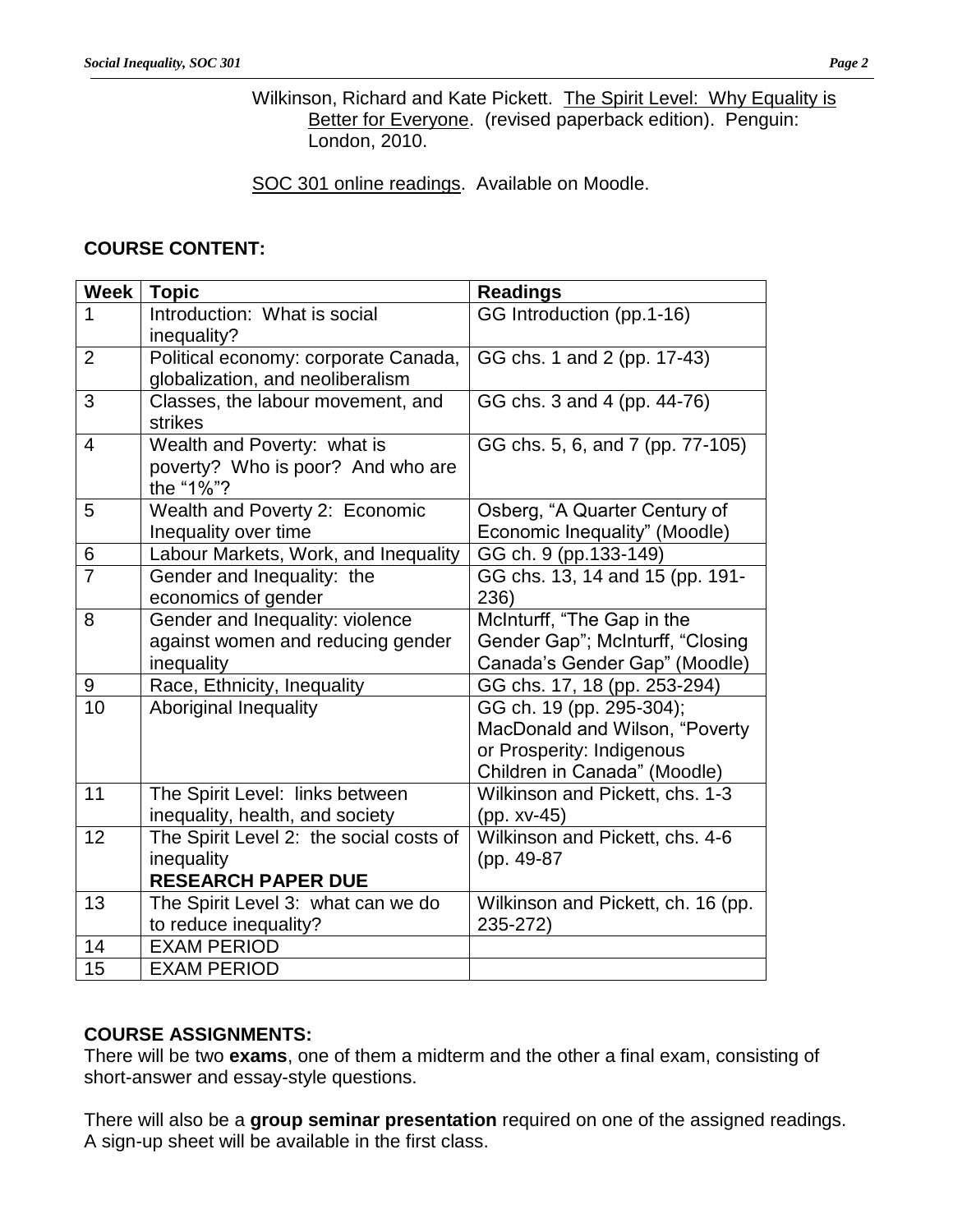Wilkinson, Richard and Kate Pickett. The Spirit Level: Why Equality is Better for Everyone. (revised paperback edition). Penguin: London, 2010.

SOC 301 online readings. Available on Moodle.

# **COURSE CONTENT:**

| <b>Week</b>     | <b>Topic</b>                                                                       | <b>Readings</b>                                                                                                         |  |
|-----------------|------------------------------------------------------------------------------------|-------------------------------------------------------------------------------------------------------------------------|--|
| 1               | Introduction: What is social<br>inequality?                                        | GG Introduction (pp.1-16)                                                                                               |  |
| $\overline{2}$  | Political economy: corporate Canada,<br>globalization, and neoliberalism           | GG chs. 1 and 2 (pp. 17-43)                                                                                             |  |
| 3               | Classes, the labour movement, and<br>strikes                                       | GG chs. 3 and 4 (pp. 44-76)                                                                                             |  |
| $\overline{4}$  | Wealth and Poverty: what is<br>poverty? Who is poor? And who are<br>the "1%"?      | GG chs. 5, 6, and 7 (pp. 77-105)                                                                                        |  |
| 5               | Wealth and Poverty 2: Economic<br>Inequality over time                             | Osberg, "A Quarter Century of<br>Economic Inequality" (Moodle)                                                          |  |
| 6               | Labour Markets, Work, and Inequality                                               | GG ch. 9 (pp.133-149)                                                                                                   |  |
| $\overline{7}$  | Gender and Inequality: the<br>economics of gender                                  | GG chs. 13, 14 and 15 (pp. 191-<br>236)                                                                                 |  |
| 8               | Gender and Inequality: violence<br>against women and reducing gender<br>inequality | McInturff, "The Gap in the<br>Gender Gap"; McInturff, "Closing<br>Canada's Gender Gap" (Moodle)                         |  |
| 9               | Race, Ethnicity, Inequality                                                        | GG chs. 17, 18 (pp. 253-294)                                                                                            |  |
| 10              | <b>Aboriginal Inequality</b>                                                       | GG ch. 19 (pp. 295-304);<br>MacDonald and Wilson, "Poverty<br>or Prosperity: Indigenous<br>Children in Canada" (Moodle) |  |
| 11              | The Spirit Level: links between<br>inequality, health, and society                 | Wilkinson and Pickett, chs. 1-3<br>(pp. xv-45)                                                                          |  |
| 12              | The Spirit Level 2: the social costs of<br>inequality<br><b>RESEARCH PAPER DUE</b> | Wilkinson and Pickett, chs. 4-6<br>(pp. 49-87)                                                                          |  |
| 13              | The Spirit Level 3: what can we do<br>to reduce inequality?                        | Wilkinson and Pickett, ch. 16 (pp.<br>235-272)                                                                          |  |
| 14              | <b>EXAM PERIOD</b>                                                                 |                                                                                                                         |  |
| $\overline{15}$ | <b>EXAM PERIOD</b>                                                                 |                                                                                                                         |  |

# **COURSE ASSIGNMENTS:**

There will be two **exams**, one of them a midterm and the other a final exam, consisting of short-answer and essay-style questions.

There will also be a **group seminar presentation** required on one of the assigned readings. A sign-up sheet will be available in the first class.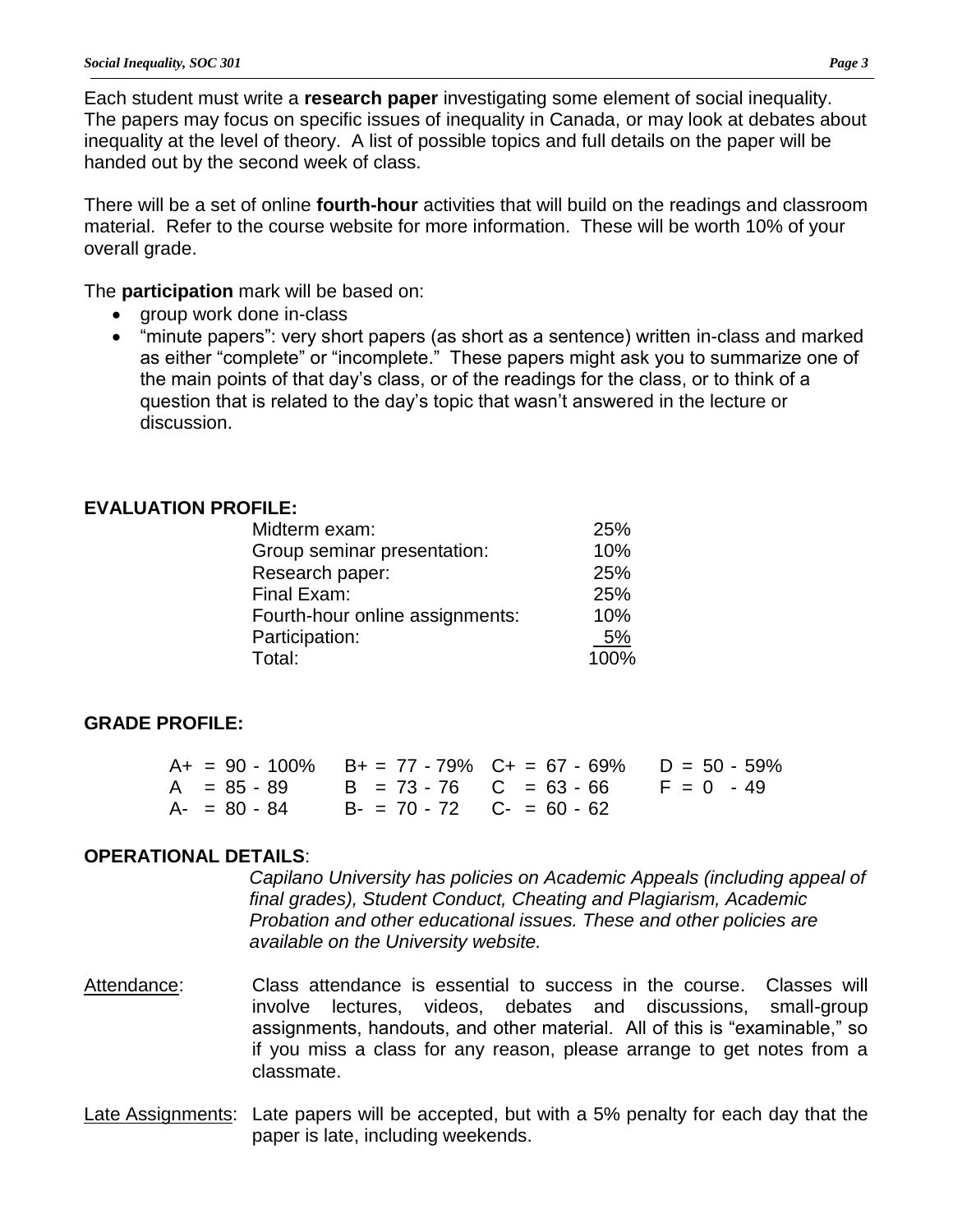Each student must write a **research paper** investigating some element of social inequality. The papers may focus on specific issues of inequality in Canada, or may look at debates about inequality at the level of theory. A list of possible topics and full details on the paper will be handed out by the second week of class.

There will be a set of online **fourth-hour** activities that will build on the readings and classroom material. Refer to the course website for more information. These will be worth 10% of your overall grade.

The **participation** mark will be based on:

- group work done in-class
- "minute papers": very short papers (as short as a sentence) written in-class and marked as either "complete" or "incomplete." These papers might ask you to summarize one of the main points of that day's class, or of the readings for the class, or to think of a question that is related to the day's topic that wasn't answered in the lecture or discussion.

## **EVALUATION PROFILE:**

| 25%  |
|------|
| 10%  |
| 25%  |
| 25%  |
| 10%  |
| 5%   |
| 100% |
|      |

## **GRADE PROFILE:**

|  |                                           | $A+ = 90 - 100\%$ B+ = 77 - 79% C+ = 67 - 69% D = 50 - 59% |  |
|--|-------------------------------------------|------------------------------------------------------------|--|
|  |                                           | $A = 85 - 89$ B = 73 - 76 C = 63 - 66 F = 0 - 49           |  |
|  | $A - 80 - 84$ $B - 70 - 72$ $C - 60 - 62$ |                                                            |  |

#### **OPERATIONAL DETAILS**:

*Capilano University has policies on Academic Appeals (including appeal of final grades), Student Conduct, Cheating and Plagiarism, Academic Probation and other educational issues. These and other policies are available on the University website.*

- Attendance: Class attendance is essential to success in the course. Classes will involve lectures, videos, debates and discussions, small-group assignments, handouts, and other material. All of this is "examinable," so if you miss a class for any reason, please arrange to get notes from a classmate.
- Late Assignments: Late papers will be accepted, but with a 5% penalty for each day that the paper is late, including weekends.